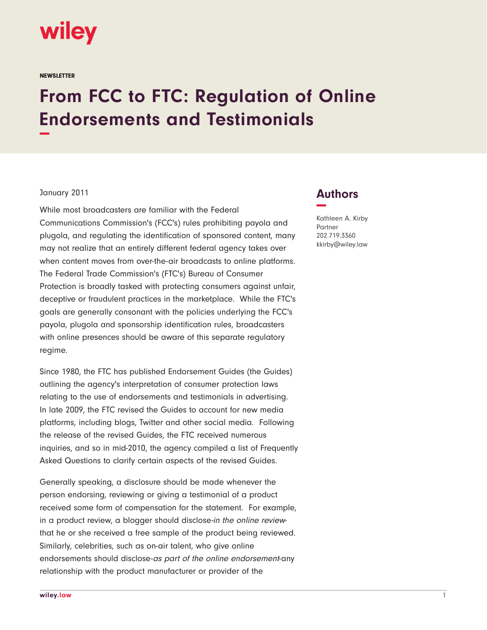

**NEWSLETTER** 

## **From FCC to FTC: Regulation of Online Endorsements and Testimonials −**

## January 2011

While most broadcasters are familiar with the Federal Communications Commission's (FCC's) rules prohibiting payola and plugola, and regulating the identification of sponsored content, many may not realize that an entirely different federal agency takes over when content moves from over-the-air broadcasts to online platforms. The Federal Trade Commission's (FTC's) Bureau of Consumer Protection is broadly tasked with protecting consumers against unfair, deceptive or fraudulent practices in the marketplace. While the FTC's goals are generally consonant with the policies underlying the FCC's payola, plugola and sponsorship identification rules, broadcasters with online presences should be aware of this separate regulatory regime.

Since 1980, the FTC has published Endorsement Guides (the Guides) outlining the agency's interpretation of consumer protection laws relating to the use of endorsements and testimonials in advertising. In late 2009, the FTC revised the Guides to account for new media platforms, including blogs, Twitter and other social media. Following the release of the revised Guides, the FTC received numerous inquiries, and so in mid-2010, the agency compiled a list of Frequently Asked Questions to clarify certain aspects of the revised Guides.

Generally speaking, a disclosure should be made whenever the person endorsing, reviewing or giving a testimonial of a product received some form of compensation for the statement. For example, in a product review, a blogger should disclose-in the online reviewthat he or she received a free sample of the product being reviewed. Similarly, celebrities, such as on-air talent, who give online endorsements should disclose-as part of the online endorsement-any relationship with the product manufacturer or provider of the

## **Authors −**

Kathleen A. Kirby Partner 202.719.3360 kkirby@wiley.law